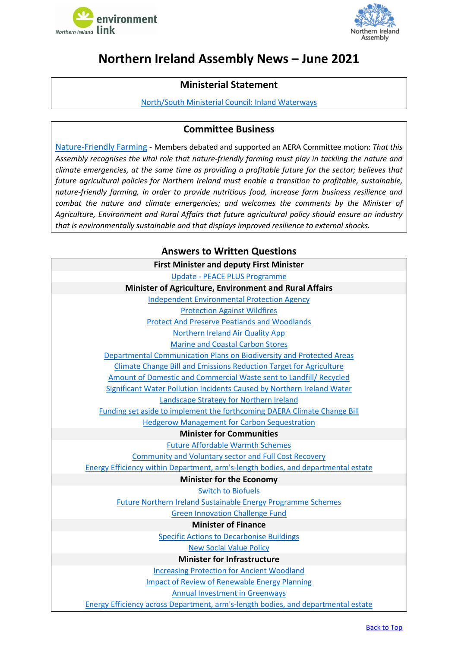



# <span id="page-0-0"></span>**Northern Ireland Assembly News – June 2021**

## **Ministerial Statement**

[North/South Ministerial Council: Inland Waterways](http://aims.niassembly.gov.uk/officialreport/report.aspx?&eveDate=2021/06/22&docID=341906#3542202)

#### **Committee Business**

[Nature-Friendly Farming](http://aims.niassembly.gov.uk/officialreport/report.aspx?&eveDate=2021/06/07&docID=339983#3495646) - Members debated and supported an AERA Committee motion: *That this Assembly recognises the vital role that nature-friendly farming must play in tackling the nature and climate emergencies, at the same time as providing a profitable future for the sector; believes that future agricultural policies for Northern Ireland must enable a transition to profitable, sustainable, nature-friendly farming, in order to provide nutritious food, increase farm business resilience and combat the nature and climate emergencies; and welcomes the comments by the Minister of Agriculture, Environment and Rural Affairs that future agricultural policy should ensure an industry that is environmentally sustainable and that displays improved resilience to external shocks.*

### **Answers to Written Questions**

| <b>First Minister and deputy First Minister</b>                                          |  |  |  |
|------------------------------------------------------------------------------------------|--|--|--|
| <b>Update - PEACE PLUS Programme</b>                                                     |  |  |  |
| Minister of Agriculture, Environment and Rural Affairs                                   |  |  |  |
| <b>Independent Environmental Protection Agency</b>                                       |  |  |  |
| <b>Protection Against Wildfires</b>                                                      |  |  |  |
| <b>Protect And Preserve Peatlands and Woodlands</b>                                      |  |  |  |
| Northern Ireland Air Quality App                                                         |  |  |  |
| <b>Marine and Coastal Carbon Stores</b>                                                  |  |  |  |
| Departmental Communication Plans on Biodiversity and Protected Areas                     |  |  |  |
| Climate Change Bill and Emissions Reduction Target for Agriculture                       |  |  |  |
| Amount of Domestic and Commercial Waste sent to Landfill/ Recycled                       |  |  |  |
| Significant Water Pollution Incidents Caused by Northern Ireland Water                   |  |  |  |
| <b>Landscape Strategy for Northern Ireland</b>                                           |  |  |  |
| Funding set aside to implement the forthcoming DAERA Climate Change Bill                 |  |  |  |
| <b>Hedgerow Management for Carbon Sequestration</b>                                      |  |  |  |
| <b>Minister for Communities</b>                                                          |  |  |  |
| <b>Future Affordable Warmth Schemes</b>                                                  |  |  |  |
| <b>Community and Voluntary sector and Full Cost Recovery</b>                             |  |  |  |
| <b>Energy Efficiency within Department, arm's-length bodies, and departmental estate</b> |  |  |  |
| <b>Minister for the Economy</b>                                                          |  |  |  |
| <b>Switch to Biofuels</b>                                                                |  |  |  |
| <b>Future Northern Ireland Sustainable Energy Programme Schemes</b>                      |  |  |  |
| <b>Green Innovation Challenge Fund</b>                                                   |  |  |  |
| <b>Minister of Finance</b>                                                               |  |  |  |
| <b>Specific Actions to Decarbonise Buildings</b>                                         |  |  |  |
| <b>New Social Value Policy</b>                                                           |  |  |  |
| <b>Minister for Infrastructure</b>                                                       |  |  |  |
| <b>Increasing Protection for Ancient Woodland</b>                                        |  |  |  |
| <b>Impact of Review of Renewable Energy Planning</b>                                     |  |  |  |
| <b>Annual Investment in Greenways</b>                                                    |  |  |  |
| <b>Energy Efficiency across Department, arm's-length bodies, and departmental estate</b> |  |  |  |